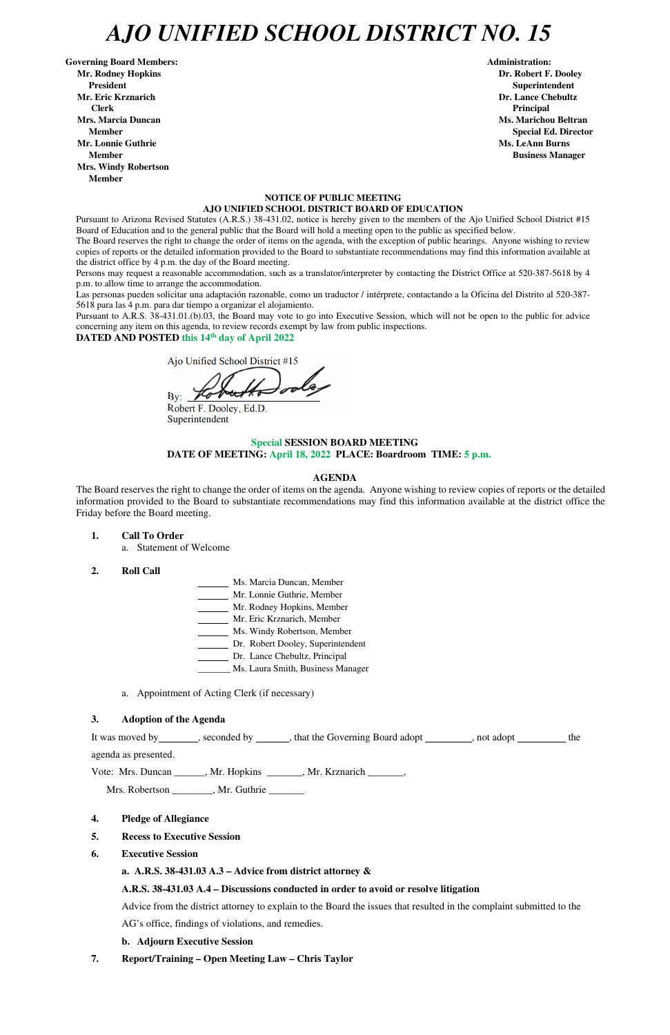# *AJO UNIFIED SCHOOL DISTRICT NO. 15*

Governing Board Members: **Administration: Administration: Administration: Mr. Rodney Hopkins Dr. Robert F. Dooley President Superintendent in the set of the set of the set of the set of the set of the Superintendent Superintendent Mr. Eric Krznarich Dr. Lance Chebultz Clerk Principal Mrs. Marcia Duncan Ms. Marichou Beltran** *Ms. Marichou Beltran* **Ms. Marichou Beltran <b>Ms. Marichou Beltran Mr. Lonnie Guthrie Ms. LeAnn Burns**  $\mathbf{M}$ **s. LeAnn Burns**  $\mathbf{M}$ **s. LeAnn Burns**  $\mathbf{M}$ **s. LeAnn Burns**  $\mathbf{M}$ **s. LeAnn Burns**  $\mathbf{M}$ **s. LeAnn Burns**  $\mathbf{M}$ **s. LeAnn Burns**  $\mathbf{M}$ **s. Le** $\mathbf{M}$ **s. Le** $\mathbf{M}$ **s. Le** $\mathbf{M}$ **Member Business Manager Business Manager Business Manager Mrs. Windy Robertson Member** 

#### **NOTICE OF PUBLIC MEETING AJO UNIFIED SCHOOL DISTRICT BOARD OF EDUCATION**

Pursuant to Arizona Revised Statutes (A.R.S.) 38-431.02, notice is hereby given to the members of the Ajo Unified School District #15 Board of Education and to the general public that the Board will hold a meeting open to the public as specified below.

The Board reserves the right to change the order of items on the agenda, with the exception of public hearings. Anyone wishing to review copies of reports or the detailed information provided to the Board to substantiate recommendations may find this information available at the district office by 4 p.m. the day of the Board meeting.

Persons may request a reasonable accommodation, such as a translator/interpreter by contacting the District Office at 520-387-5618 by 4 p.m. to allow time to arrange the accommodation.

Las personas pueden solicitar una adaptación razonable, como un traductor / intérprete, contactando a la Oficina del Distrito al 520-387- 5618 para las 4 p.m. para dar tiempo a organizar el alojamiento.

It was moved by seconded by , that the Governing Board adopt , not adopt , not and  $\frac{1}{\sqrt{1-\frac{1}{n}}}\$ , the agenda as presented.

**Member** Special Ed. Director **Special Ed. Director** 

Pursuant to A.R.S. 38-431.01.(b).03, the Board may vote to go into Executive Session, which will not be open to the public for advice concerning any item on this agenda, to review records exempt by law from public inspections.

**DATED AND POSTED this 14th day of April 2022** 

Ajo Unified School District #15

 $By:$ 

Robert F. Dooley, Ed.D. Superintendent

#### **Special SESSION BOARD MEETING DATE OF MEETING: April 18, 2022 PLACE: Boardroom TIME: 5 p.m.**

#### **AGENDA**

The Board reserves the right to change the order of items on the agenda. Anyone wishing to review copies of reports or the detailed information provided to the Board to substantiate recommendations may find this information available at the district office the Friday before the Board meeting.

**1. Call To Order** 

a. Statement of Welcome

- **2. Roll Call**
- Ms. Marcia Duncan, Member Mr. Lonnie Guthrie, Member Mr. Rodney Hopkins, Member Mr. Eric Krznarich, Member **Ms. Windy Robertson, Member** Dr. Robert Dooley, Superintendent Dr. Lance Chebultz, Principal \_\_\_\_\_\_\_ Ms. Laura Smith, Business Manager
- a. Appointment of Acting Clerk (if necessary)

#### **3. Adoption of the Agenda**

Vote: Mrs. Duncan \_\_\_\_\_\_, Mr. Hopkins \_\_\_\_\_\_\_, Mr. Krznarich \_\_\_\_\_\_\_,

Mrs. Robertson \_\_\_\_\_\_\_, Mr. Guthrie \_\_\_\_\_\_

- **4. Pledge of Allegiance**
- **5. Recess to Executive Session**
- **6. Executive Session**

#### **a. A.R.S. 38-431.03 A.3 – Advice from district attorney &**

#### **A.R.S. 38-431.03 A.4 – Discussions conducted in order to avoid or resolve litigation**

Advice from the district attorney to explain to the Board the issues that resulted in the complaint submitted to the AG's office, findings of violations, and remedies.

#### **b. Adjourn Executive Session**

**7. Report/Training – Open Meeting Law – Chris Taylor**